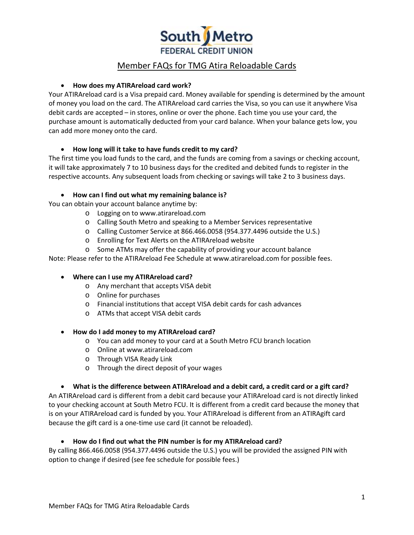

### • **How does my ATIRAreload card work?**

Your ATIRAreload card is a Visa prepaid card. Money available for spending is determined by the amount of money you load on the card. The ATIRAreload card carries the Visa, so you can use it anywhere Visa debit cards are accepted – in stores, online or over the phone. Each time you use your card, the purchase amount is automatically deducted from your card balance. When your balance gets low, you can add more money onto the card.

## • **How long will it take to have funds credit to my card?**

The first time you load funds to the card, and the funds are coming from a savings or checking account, it will take approximately 7 to 10 business days for the credited and debited funds to register in the respective accounts. Any subsequent loads from checking or savings will take 2 to 3 business days.

#### • **How can I find out what my remaining balance is?**

You can obtain your account balance anytime by:

- o Logging on to www.atirareload.com
- o Calling South Metro and speaking to a Member Services representative
- o Calling Customer Service at 866.466.0058 (954.377.4496 outside the U.S.)
- o Enrolling for Text Alerts on the ATIRAreload website
- o Some ATMs may offer the capability of providing your account balance

Note: Please refer to the ATIRAreload Fee Schedule at www.atirareload.com for possible fees.

#### • **Where can I use my ATIRAreload card?**

- o Any merchant that accepts VISA debit
- o Online for purchases
- o Financial institutions that accept VISA debit cards for cash advances
- o ATMs that accept VISA debit cards

#### • **How do I add money to my ATIRAreload card?**

- o You can add money to your card at a South Metro FCU branch location
- o Online at www.atirareload.com
- o Through VISA Ready Link
- o Through the direct deposit of your wages

#### • **What is the difference between ATIRAreload and a debit card, a credit card or a gift card?**

An ATIRAreload card is different from a debit card because your ATIRAreload card is not directly linked to your checking account at South Metro FCU. It is different from a credit card because the money that is on your ATIRAreload card is funded by you. Your ATIRAreload is different from an ATIRAgift card because the gift card is a one-time use card (it cannot be reloaded).

#### • **How do I find out what the PIN number is for my ATIRAreload card?**

By calling 866.466.0058 (954.377.4496 outside the U.S.) you will be provided the assigned PIN with option to change if desired (see fee schedule for possible fees.)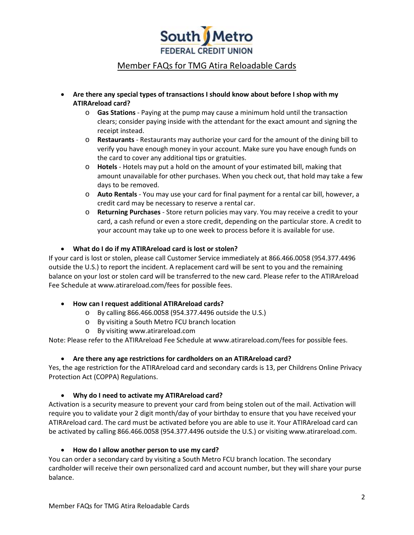

- **Are there any special types of transactions I should know about before I shop with my ATIRAreload card?**
	- o **Gas Stations**  Paying at the pump may cause a minimum hold until the transaction clears; consider paying inside with the attendant for the exact amount and signing the receipt instead.
	- o **Restaurants**  Restaurants may authorize your card for the amount of the dining bill to verify you have enough money in your account. Make sure you have enough funds on the card to cover any additional tips or gratuities.
	- o **Hotels**  Hotels may put a hold on the amount of your estimated bill, making that amount unavailable for other purchases. When you check out, that hold may take a few days to be removed.
	- o **Auto Rentals**  You may use your card for final payment for a rental car bill, however, a credit card may be necessary to reserve a rental car.
	- o **Returning Purchases**  Store return policies may vary. You may receive a credit to your card, a cash refund or even a store credit, depending on the particular store. A credit to your account may take up to one week to process before it is available for use.

# • **What do I do if my ATIRAreload card is lost or stolen?**

If your card is lost or stolen, please call Customer Service immediately at 866.466.0058 (954.377.4496 outside the U.S.) to report the incident. A replacement card will be sent to you and the remaining balance on your lost or stolen card will be transferred to the new card. Please refer to the ATIRAreload Fee Schedule at www.atirareload.com/fees for possible fees.

#### • **How can I request additional ATIRAreload cards?**

- o By calling 866.466.0058 (954.377.4496 outside the U.S.)
- o By visiting a South Metro FCU branch location
- o By visiting www.atirareload.com

Note: Please refer to the ATIRAreload Fee Schedule at www.atirareload.com/fees for possible fees.

#### • **Are there any age restrictions for cardholders on an ATIRAreload card?**

Yes, the age restriction for the ATIRAreload card and secondary cards is 13, per Childrens Online Privacy Protection Act (COPPA) Regulations.

# • **Why do I need to activate my ATIRAreload card?**

Activation is a security measure to prevent your card from being stolen out of the mail. Activation will require you to validate your 2 digit month/day of your birthday to ensure that you have received your ATIRAreload card. The card must be activated before you are able to use it. Your ATIRAreload card can be activated by calling 866.466.0058 (954.377.4496 outside the U.S.) or visiting www.atirareload.com.

#### • **How do I allow another person to use my card?**

You can order a secondary card by visiting a South Metro FCU branch location. The secondary cardholder will receive their own personalized card and account number, but they will share your purse balance.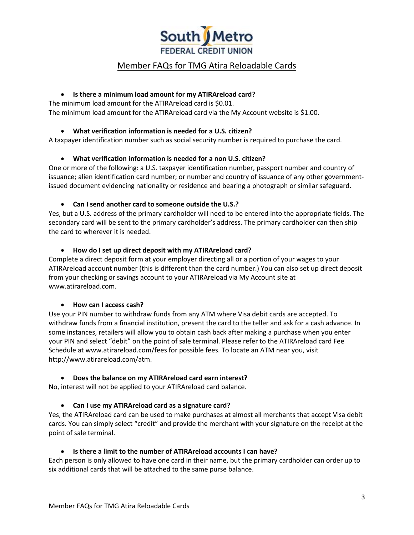

### • **Is there a minimum load amount for my ATIRAreload card?**

The minimum load amount for the ATIRAreload card is \$0.01. The minimum load amount for the ATIRAreload card via the My Account website is \$1.00.

## • **What verification information is needed for a U.S. citizen?**

A taxpayer identification number such as social security number is required to purchase the card.

## • **What verification information is needed for a non U.S. citizen?**

One or more of the following: a U.S. taxpayer identification number, passport number and country of issuance; alien identification card number; or number and country of issuance of any other governmentissued document evidencing nationality or residence and bearing a photograph or similar safeguard.

## • **Can I send another card to someone outside the U.S.?**

Yes, but a U.S. address of the primary cardholder will need to be entered into the appropriate fields. The secondary card will be sent to the primary cardholder's address. The primary cardholder can then ship the card to wherever it is needed.

## • **How do I set up direct deposit with my ATIRAreload card?**

Complete a direct deposit form at your employer directing all or a portion of your wages to your ATIRAreload account number (this is different than the card number.) You can also set up direct deposit from your checking or savings account to your ATIRAreload via My Account site at www.atirareload.com.

#### • **How can I access cash?**

Use your PIN number to withdraw funds from any ATM where Visa debit cards are accepted. To withdraw funds from a financial institution, present the card to the teller and ask for a cash advance. In some instances, retailers will allow you to obtain cash back after making a purchase when you enter your PIN and select "debit" on the point of sale terminal. Please refer to the ATIRAreload card Fee Schedule at www.atirareload.com/fees for possible fees. To locate an ATM near you, visit http://www.atirareload.com/atm.

# • **Does the balance on my ATIRAreload card earn interest?**

No, interest will not be applied to your ATIRAreload card balance.

# • **Can I use my ATIRAreload card as a signature card?**

Yes, the ATIRAreload card can be used to make purchases at almost all merchants that accept Visa debit cards. You can simply select "credit" and provide the merchant with your signature on the receipt at the point of sale terminal.

#### • **Is there a limit to the number of ATIRAreload accounts I can have?**

Each person is only allowed to have one card in their name, but the primary cardholder can order up to six additional cards that will be attached to the same purse balance.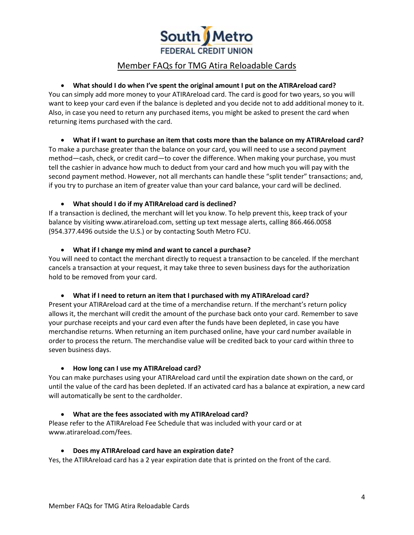

# • **What should I do when I've spent the original amount I put on the ATIRAreload card?**

You can simply add more money to your ATIRAreload card. The card is good for two years, so you will want to keep your card even if the balance is depleted and you decide not to add additional money to it. Also, in case you need to return any purchased items, you might be asked to present the card when returning items purchased with the card.

#### • **What if I want to purchase an item that costs more than the balance on my ATIRAreload card?**

To make a purchase greater than the balance on your card, you will need to use a second payment method—cash, check, or credit card—to cover the difference. When making your purchase, you must tell the cashier in advance how much to deduct from your card and how much you will pay with the second payment method. However, not all merchants can handle these "split tender" transactions; and, if you try to purchase an item of greater value than your card balance, your card will be declined.

## • **What should I do if my ATIRAreload card is declined?**

If a transaction is declined, the merchant will let you know. To help prevent this, keep track of your balance by visiting www.atirareload.com, setting up text message alerts, calling 866.466.0058 (954.377.4496 outside the U.S.) or by contacting South Metro FCU.

• **What if I change my mind and want to cancel a purchase?**

You will need to contact the merchant directly to request a transaction to be canceled. If the merchant cancels a transaction at your request, it may take three to seven business days for the authorization hold to be removed from your card.

#### • **What if I need to return an item that I purchased with my ATIRAreload card?**

Present your ATIRAreload card at the time of a merchandise return. If the merchant's return policy allows it, the merchant will credit the amount of the purchase back onto your card. Remember to save your purchase receipts and your card even after the funds have been depleted, in case you have merchandise returns. When returning an item purchased online, have your card number available in order to process the return. The merchandise value will be credited back to your card within three to seven business days.

#### • **How long can I use my ATIRAreload card?**

You can make purchases using your ATIRAreload card until the expiration date shown on the card, or until the value of the card has been depleted. If an activated card has a balance at expiration, a new card will automatically be sent to the cardholder.

# • **What are the fees associated with my ATIRAreload card?**

Please refer to the ATIRAreload Fee Schedule that was included with your card or at www.atirareload.com/fees.

#### • **Does my ATIRAreload card have an expiration date?**

Yes, the ATIRAreload card has a 2 year expiration date that is printed on the front of the card.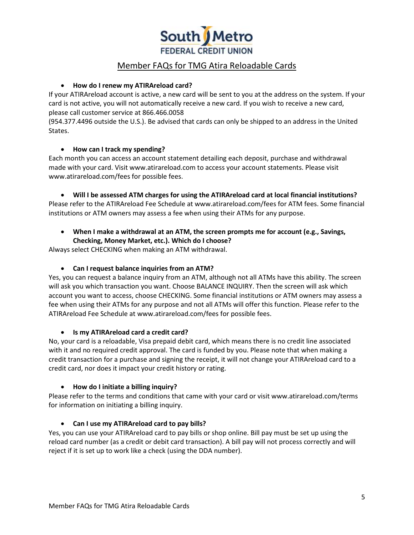

### • **How do I renew my ATIRAreload card?**

If your ATIRAreload account is active, a new card will be sent to you at the address on the system. If your card is not active, you will not automatically receive a new card. If you wish to receive a new card, please call customer service at 866.466.0058

(954.377.4496 outside the U.S.). Be advised that cards can only be shipped to an address in the United States.

## • **How can I track my spending?**

Each month you can access an account statement detailing each deposit, purchase and withdrawal made with your card. Visit www.atirareload.com to access your account statements. Please visit www.atirareload.com/fees for possible fees.

• **Will I be assessed ATM charges for using the ATIRAreload card at local financial institutions?** Please refer to the ATIRAreload Fee Schedule at www.atirareload.com/fees for ATM fees. Some financial institutions or ATM owners may assess a fee when using their ATMs for any purpose.

• **When I make a withdrawal at an ATM, the screen prompts me for account (e.g., Savings, Checking, Money Market, etc.). Which do I choose?**

Always select CHECKING when making an ATM withdrawal.

### • **Can I request balance inquiries from an ATM?**

Yes, you can request a balance inquiry from an ATM, although not all ATMs have this ability. The screen will ask you which transaction you want. Choose BALANCE INQUIRY. Then the screen will ask which account you want to access, choose CHECKING. Some financial institutions or ATM owners may assess a fee when using their ATMs for any purpose and not all ATMs will offer this function. Please refer to the ATIRAreload Fee Schedule at www.atirareload.com/fees for possible fees.

#### • **Is my ATIRAreload card a credit card?**

No, your card is a reloadable, Visa prepaid debit card, which means there is no credit line associated with it and no required credit approval. The card is funded by you. Please note that when making a credit transaction for a purchase and signing the receipt, it will not change your ATIRAreload card to a credit card, nor does it impact your credit history or rating.

#### • **How do I initiate a billing inquiry?**

Please refer to the terms and conditions that came with your card or visit www.atirareload.com/terms for information on initiating a billing inquiry.

# • **Can I use my ATIRAreload card to pay bills?**

Yes, you can use your ATIRAreload card to pay bills or shop online. Bill pay must be set up using the reload card number (as a credit or debit card transaction). A bill pay will not process correctly and will reject if it is set up to work like a check (using the DDA number).